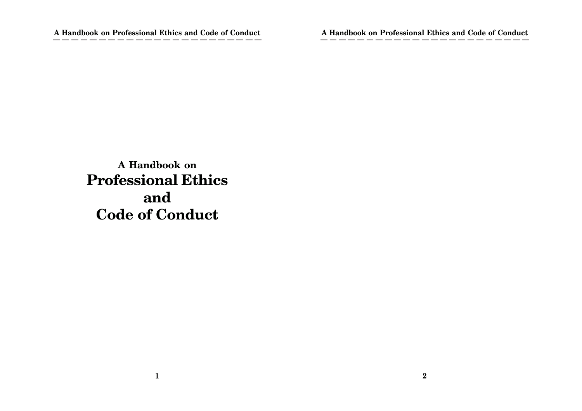**A Handbook on Professional Ethics and Code of Conduct**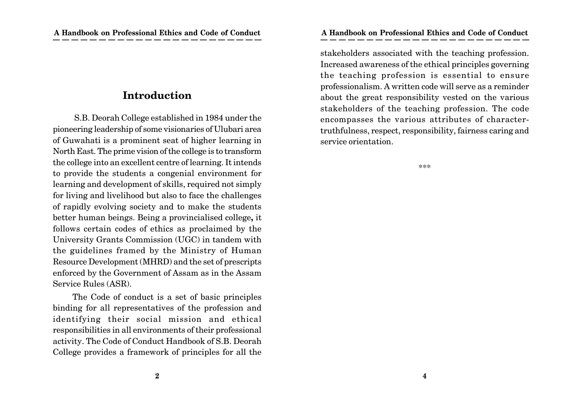# **Introduction**

S.B. Deorah College established in 1984 under the pioneering leadership of some visionaries of Ulubari area of Guwahati is a prominent seat of higher learning in North East. The prime vision of the college is to transform the college into an excellent centre of learning. It intends to provide the students a congenial environment for learning and development of skills, required not simply for living and livelihood but also to face the challenges of rapidly evolving society and to make the students better human beings. Being a provincialised college**,** it follows certain codes of ethics as proclaimed by the University Grants Commission (UGC) in tandem with the guidelines framed by the Ministry of Human Resource Development (MHRD) and the set of prescripts enforced by the Government of Assam as in the Assam Service Rules (ASR).

The Code of conduct is a set of basic principles binding for all representatives of the profession and identifying their social mission and ethical responsibilities in all environments of their professional activity. The Code of Conduct Handbook of S.B. Deorah College provides a framework of principles for all the

stakeholders associated with the teaching profession. Increased awareness of the ethical principles governing the teaching profession is essential to ensure professionalism. A written code will serve as a reminder about the great responsibility vested on the various stakeholders of the teaching profession. The code encompasses the various attributes of charactertruthfulness, respect, responsibility, fairness caring and service orientation.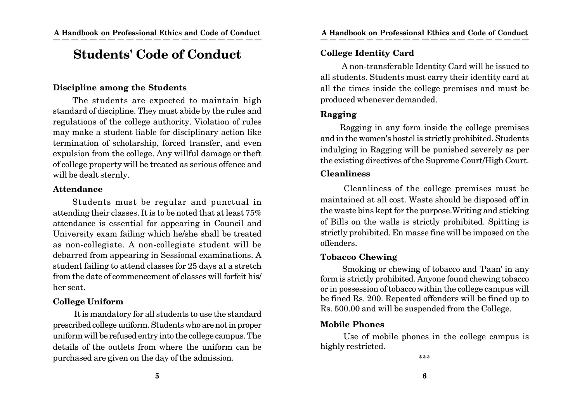# **Students' Code of Conduct**

#### **Discipline among the Students**

The students are expected to maintain high standard of discipline. They must abide by the rules and regulations of the college authority. Violation of rules may make a student liable for disciplinary action like termination of scholarship, forced transfer, and even expulsion from the college. Any willful damage or theft of college property will be treated as serious offence and will be dealt sternly.

#### **Attendance**

Students must be regular and punctual in attending their classes. It is to be noted that at least 75% attendance is essential for appearing in Council and University exam failing which he/she shall be treated as non-collegiate. A non-collegiate student will be debarred from appearing in Sessional examinations. A student failing to attend classes for 25 days at a stretch from the date of commencement of classes will forfeit his/ her seat.

#### **College Uniform**

 It is mandatory for all students to use the standard prescribed college uniform. Students who are not in proper uniform will be refused entry into the college campus. The details of the outlets from where the uniform can be purchased are given on the day of the admission.

#### **College Identity Card**

 A non-transferable Identity Card will be issued to all students. Students must carry their identity card at all the times inside the college premises and must be produced whenever demanded.

#### **Ragging**

Ragging in any form inside the college premises and in the women's hostel is strictly prohibited. Students indulging in Ragging will be punished severely as per the existing directives of the Supreme Court/High Court. **Cleanliness**

 Cleanliness of the college premises must be maintained at all cost. Waste should be disposed off in the waste bins kept for the purpose.Writing and sticking of Bills on the walls is strictly prohibited. Spitting is strictly prohibited. En masse fine will be imposed on the offenders.

### **Tobacco Chewing**

 Smoking or chewing of tobacco and 'Paan' in any form is strictly prohibited. Anyone found chewing tobacco or in possession of tobacco within the college campus will be fined Rs. 200. Repeated offenders will be fined up to Rs. 500.00 and will be suspended from the College.

#### **Mobile Phones**

 Use of mobile phones in the college campus is highly restricted.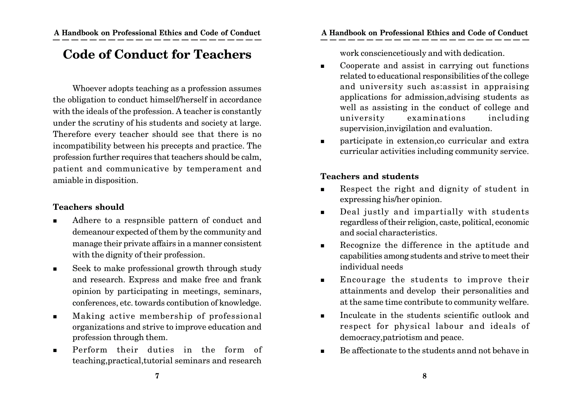# **Code of Conduct for Teachers**

Whoever adopts teaching as a profession assumes the obligation to conduct himself/herself in accordance with the ideals of the profession. A teacher is constantly under the scrutiny of his students and society at large. Therefore every teacher should see that there is no incompatibility between his precepts and practice. The profession further requires that teachers should be calm, patient and communicative by temperament and amiable in disposition.

### **Teachers should**

- Adhere to a respnsible pattern of conduct and demeanour expected of them by the community and manage their private affairs in a manner consistent with the dignity of their profession.
- Seek to make professional growth through study and research. Express and make free and frank opinion by participating in meetings, seminars, conferences, etc. towards contibution of knowledge.
- Making active membership of professional organizations and strive to improve education and profession through them.
- Perform their duties in the form of teaching,practical,tutorial seminars and research

work consciencetiously and with dedication.

- Cooperate and assist in carrying out functions related to educational responsibilities of the college and university such as:assist in appraising applications for admission,advising students as well as assisting in the conduct of college and university examinations including supervision,invigilation and evaluation.
- participate in extension,co curricular and extra curricular activities including community service.

### **Teachers and students**

- Respect the right and dignity of student in expressing his/her opinion.
- Deal justly and impartially with students regardless of their religion, caste, political, economic and social characteristics.
- Recognize the difference in the aptitude and capabilities among students and strive to meet their individual needs
- **Encourage the students to improve their** attainments and develop their personalities and at the same time contribute to community welfare.
- Inculcate in the students scientific outlook and respect for physical labour and ideals of democracy,patriotism and peace.
- Be affectionate to the students annd not behave in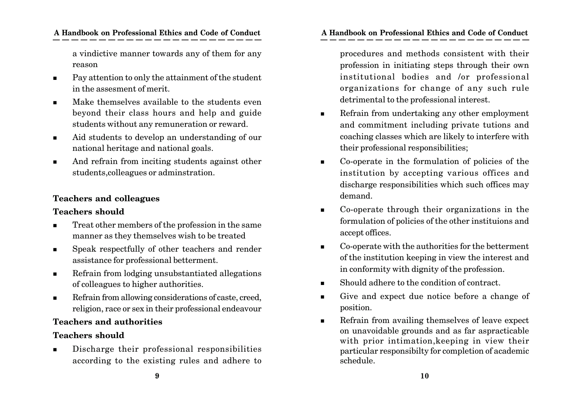a vindictive manner towards any of them for any reason

- Pay attention to only the attainment of the student in the assesment of merit.
- **Make themselves available to the students even** beyond their class hours and help and guide students without any remuneration or reward.
- Aid students to develop an understanding of our national heritage and national goals.
- And refrain from inciting students against other students,colleagues or adminstration.

# **Teachers and colleagues**

### **Teachers should**

- Treat other members of the profession in the same manner as they themselves wish to be treated
- **Speak respectfully of other teachers and render** assistance for professional betterment.
- Refrain from lodging unsubstantiated allegations of colleagues to higher authorities.
- Refrain from allowing considerations of caste, creed, religion, race or sex in their professional endeavour

# **Teachers and authorities**

# **Teachers should**

 Discharge their professional responsibilities according to the existing rules and adhere to

### **A Handbook on Professional Ethics and Code of Conduct A Handbook on Professional Ethics and Code of Conduct**

procedures and methods consistent with their profession in initiating steps through their own institutional bodies and /or professional organizations for change of any such rule detrimental to the professional interest.

- Refrain from undertaking any other employment and commitment including private tutions and coaching classes which are likely to interfere with their professional responsibilities;
- Co-operate in the formulation of policies of the institution by accepting various offices and discharge responsibilities which such offices may demand.
- Co-operate through their organizations in the formulation of policies of the other instituions and accept offices.
- Co-operate with the authorities for the betterment of the institution keeping in view the interest and in conformity with dignity of the profession.
- Should adhere to the condition of contract.
- Give and expect due notice before a change of position.
- Refrain from availing themselves of leave expect on unavoidable grounds and as far aspracticable with prior intimation,keeping in view their particular responsibilty for completion of academic schedule.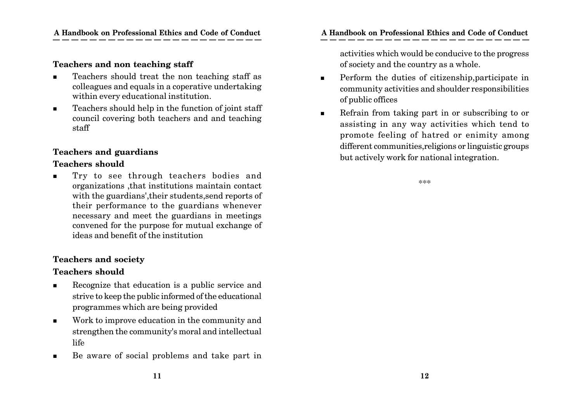#### **Teachers and non teaching staff**

- Teachers should treat the non teaching staff as colleagues and equals in a coperative undertaking within every educational institution.
- Teachers should help in the function of joint staff council covering both teachers and and teaching staff

#### **Teachers and guardians**

#### **Teachers should**

 Try to see through teachers bodies and organizations ,that institutions maintain contact with the guardians',their students,send reports of their performance to the guardians whenever necessary and meet the guardians in meetings convened for the purpose for mutual exchange of ideas and benefit of the institution

#### **Teachers and society**

#### **Teachers should**

- Recognize that education is a public service and strive to keep the public informed of the educational programmes which are being provided
- Work to improve education in the community and strengthen the community's moral and intellectual life
- Be aware of social problems and take part in

activities which would be conducive to the progress of society and the country as a whole.

- **Perform the duties of citizenship, participate in** community activities and shoulder responsibilities of public offices
- Refrain from taking part in or subscribing to or assisting in any way activities which tend to promote feeling of hatred or enimity among different communities,religions or linguistic groups but actively work for national integration.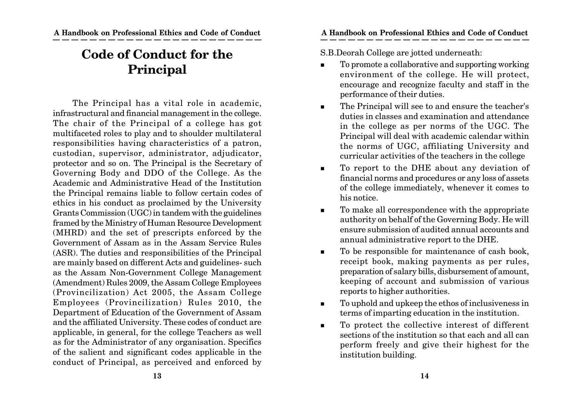# **Code of Conduct for the Principal**

The Principal has a vital role in academic, infrastructural and financial management in the college. The chair of the Principal of a college has got multifaceted roles to play and to shoulder multilateral responsibilities having characteristics of a patron, custodian, supervisor, administrator, adjudicator, protector and so on. The Principal is the Secretary of Governing Body and DDO of the College. As the Academic and Administrative Head of the Institution the Principal remains liable to follow certain codes of ethics in his conduct as proclaimed by the University Grants Commission (UGC) in tandem with the guidelines framed by the Ministry of Human Resource Development (MHRD) and the set of prescripts enforced by the Government of Assam as in the Assam Service Rules (ASR). The duties and responsibilities of the Principal are mainly based on different Acts and guidelines- such as the Assam Non-Government College Management (Amendment) Rules 2009, the Assam College Employees (Provincilization) Act 2005, the Assam College Employees (Provincilization) Rules 2010, the Department of Education of the Government of Assam and the affiliated University. These codes of conduct are applicable, in general, for the college Teachers as well as for the Administrator of any organisation. Specifics of the salient and significant codes applicable in the conduct of Principal, as perceived and enforced by

S.B.Deorah College are jotted underneath:

- To promote a collaborative and supporting working environment of the college. He will protect, encourage and recognize faculty and staff in the performance of their duties.
- The Principal will see to and ensure the teacher's duties in classes and examination and attendance in the college as per norms of the UGC. The Principal will deal with academic calendar within the norms of UGC, affiliating University and curricular activities of the teachers in the college
- To report to the DHE about any deviation of financial norms and procedures or any loss of assets of the college immediately, whenever it comes to his notice.
- To make all correspondence with the appropriate authority on behalf of the Governing Body. He will ensure submission of audited annual accounts and annual administrative report to the DHE.
- To be responsible for maintenance of cash book, receipt book, making payments as per rules, preparation of salary bills, disbursement of amount, keeping of account and submission of various reports to higher authorities.
- To uphold and upkeep the ethos of inclusiveness in terms of imparting education in the institution.
- To protect the collective interest of different sections of the institution so that each and all can perform freely and give their highest for the institution building.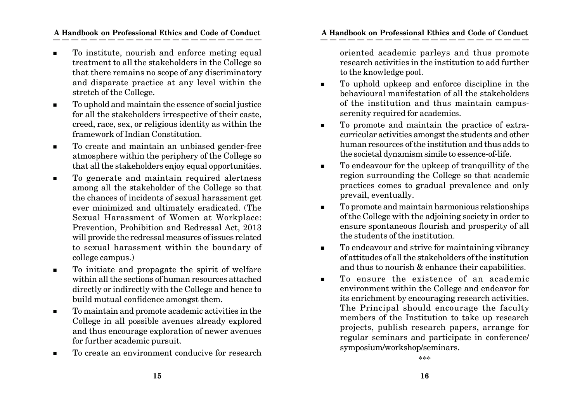- To institute, nourish and enforce meting equal treatment to all the stakeholders in the College so that there remains no scope of any discriminatory and disparate practice at any level within the stretch of the College.
- To uphold and maintain the essence of social justice for all the stakeholders irrespective of their caste, creed, race, sex, or religious identity as within the framework of Indian Constitution.
- To create and maintain an unbiased gender-free atmosphere within the periphery of the College so that all the stakeholders enjoy equal opportunities.
- To generate and maintain required alertness among all the stakeholder of the College so that the chances of incidents of sexual harassment get ever minimized and ultimately eradicated. (The Sexual Harassment of Women at Workplace: Prevention, Prohibition and Redressal Act, 2013 will provide the redressal measures of issues related to sexual harassment within the boundary of college campus.)
- To initiate and propagate the spirit of welfare within all the sections of human resources attached directly or indirectly with the College and hence to build mutual confidence amongst them.
- To maintain and promote academic activities in the College in all possible avenues already explored and thus encourage exploration of newer avenues for further academic pursuit.
- To create an environment conducive for research

oriented academic parleys and thus promote research activities in the institution to add further to the knowledge pool.

- To uphold upkeep and enforce discipline in the behavioural manifestation of all the stakeholders of the institution and thus maintain campusserenity required for academics.
- To promote and maintain the practice of extracurricular activities amongst the students and other human resources of the institution and thus adds to the societal dynamism simile to essence-of-life.
- To endeavour for the upkeep of tranquillity of the region surrounding the College so that academic practices comes to gradual prevalence and only prevail, eventually.
- To promote and maintain harmonious relationships of the College with the adjoining society in order to ensure spontaneous flourish and prosperity of all the students of the institution.
- To endeavour and strive for maintaining vibrancy of attitudes of all the stakeholders of the institution and thus to nourish & enhance their capabilities.
- $\blacksquare$  To ensure the existence of an academic environment within the College and endeavor for its enrichment by encouraging research activities. The Principal should encourage the faculty members of the Institution to take up research projects, publish research papers, arrange for regular seminars and participate in conference/ symposium/workshop/seminars.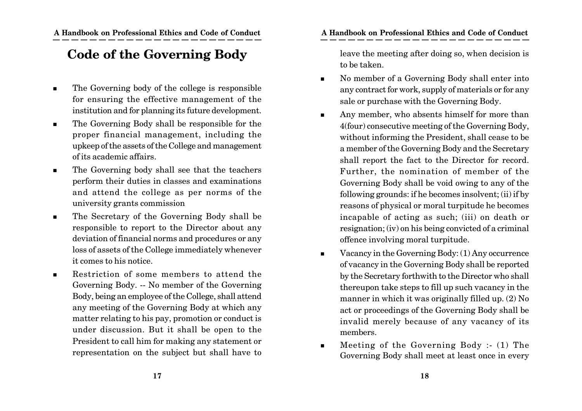# **Code of the Governing Body**

- The Governing body of the college is responsible for ensuring the effective management of the institution and for planning its future development.
- The Governing Body shall be responsible for the proper financial management, including the upkeep of the assets of the College and management of its academic affairs.
- The Governing body shall see that the teachers perform their duties in classes and examinations and attend the college as per norms of the university grants commission
- The Secretary of the Governing Body shall be responsible to report to the Director about any deviation of financial norms and procedures or any loss of assets of the College immediately whenever it comes to his notice.
- Restriction of some members to attend the Governing Body. -- No member of the Governing Body, being an employee of the College, shall attend any meeting of the Governing Body at which any matter relating to his pay, promotion or conduct is under discussion. But it shall be open to the President to call him for making any statement or representation on the subject but shall have to

leave the meeting after doing so, when decision is to be taken.

- No member of a Governing Body shall enter into any contract for work, supply of materials or for any sale or purchase with the Governing Body.
- Any member, who absents himself for more than 4(four) consecutive meeting of the Governing Body, without informing the President, shall cease to be a member of the Governing Body and the Secretary shall report the fact to the Director for record. Further, the nomination of member of the Governing Body shall be void owing to any of the following grounds: if he becomes insolvent; (ii) if by reasons of physical or moral turpitude he becomes incapable of acting as such; (iii) on death or resignation; (iv) on his being convicted of a criminal offence involving moral turpitude.
- $\blacksquare$  Vacancy in the Governing Body: (1) Any occurrence of vacancy in the Governing Body shall be reported by the Secretary forthwith to the Director who shall thereupon take steps to fill up such vacancy in the manner in which it was originally filled up. (2) No act or proceedings of the Governing Body shall be invalid merely because of any vacancy of its members.
- $\blacksquare$  Meeting of the Governing Body :- (1) The Governing Body shall meet at least once in every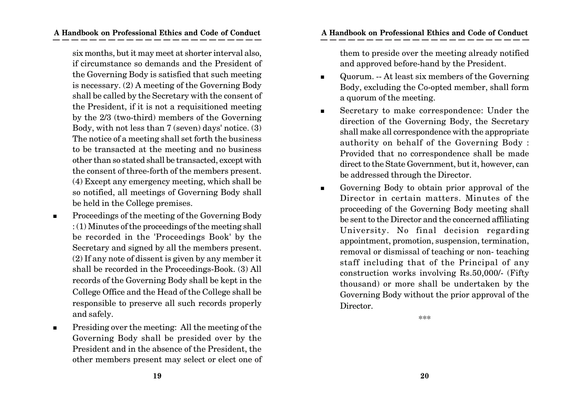six months, but it may meet at shorter interval also, if circumstance so demands and the President of the Governing Body is satisfied that such meeting is necessary. (2) A meeting of the Governing Body shall be called by the Secretary with the consent of the President, if it is not a requisitioned meeting by the 2/3 (two-third) members of the Governing Body, with not less than 7 (seven) days' notice. (3) The notice of a meeting shall set forth the business to be transacted at the meeting and no business other than so stated shall be transacted, except with the consent of three-forth of the members present. (4) Except any emergency meeting, which shall be so notified, all meetings of Governing Body shall be held in the College premises.

- **Proceedings of the meeting of the Governing Body** : (1) Minutes of the proceedings of the meeting shall be recorded in the 'Proceedings Book' by the Secretary and signed by all the members present. (2) If any note of dissent is given by any member it shall be recorded in the Proceedings-Book. (3) All records of the Governing Body shall be kept in the College Office and the Head of the College shall be responsible to preserve all such records properly and safely.
- **Presiding over the meeting: All the meeting of the** Governing Body shall be presided over by the President and in the absence of the President, the other members present may select or elect one of

them to preside over the meeting already notified and approved before-hand by the President.

- Quorum. -- At least six members of the Governing Body, excluding the Co-opted member, shall form a quorum of the meeting.
- Secretary to make correspondence: Under the direction of the Governing Body, the Secretary shall make all correspondence with the appropriate authority on behalf of the Governing Body : Provided that no correspondence shall be made direct to the State Government, but it, however, can be addressed through the Director.
- Governing Body to obtain prior approval of the Director in certain matters. Minutes of the proceeding of the Governing Body meeting shall be sent to the Director and the concerned affiliating University. No final decision regarding appointment, promotion, suspension, termination, removal or dismissal of teaching or non- teaching staff including that of the Principal of any construction works involving Rs.50,000/- (Fifty thousand) or more shall be undertaken by the Governing Body without the prior approval of the Director.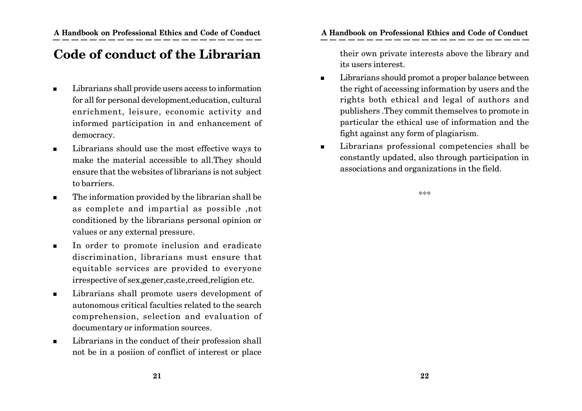# **Code of conduct of the Librarian**

- Librarians shall provide users access to information for all for personal development,education, cultural enrichment, leisure, economic activity and informed participation in and enhancement of democracy.
- Librarians should use the most effective ways to make the material accessible to all.They should ensure that the websites of librarians is not subject to barriers.
- The information provided by the librarian shall be as complete and impartial as possible ,not conditioned by the librarians personal opinion or values or any external pressure.
- In order to promote inclusion and eradicate discrimination, librarians must ensure that equitable services are provided to everyone irrespective of sex,gener,caste,creed,religion etc.
- **Librarians shall promote users development of** autonomous critical faculties related to the search comprehension, selection and evaluation of documentary or information sources.
- Librarians in the conduct of their profession shall not be in a posiion of conflict of interest or place

their own private interests above the library and its users interest.

- **Librarians should promot a proper balance between** the right of accessing information by users and the rights both ethical and legal of authors and publishers .They commit themselves to promote in particular the ethical use of information and the fight against any form of plagiarism.
- **Librarians professional competencies shall be** constantly updated, also through participation in associations and organizations in the field.